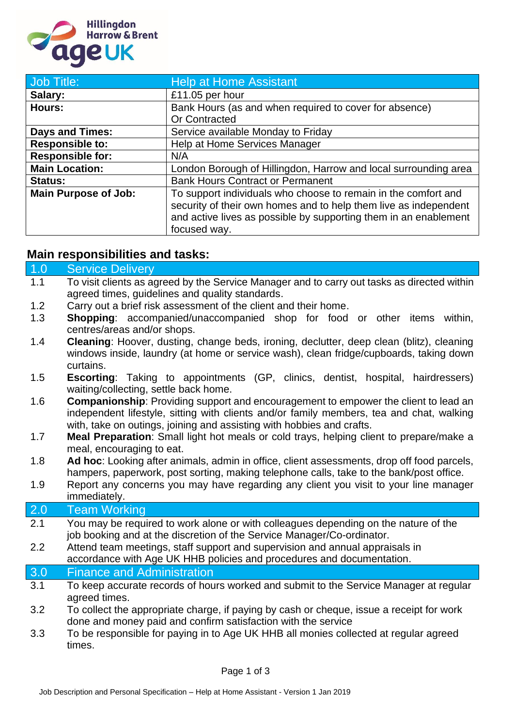

| Job Title:                  | <b>Help at Home Assistant</b>                                                                                                                                                                                          |
|-----------------------------|------------------------------------------------------------------------------------------------------------------------------------------------------------------------------------------------------------------------|
| Salary:                     | £11.05 per hour                                                                                                                                                                                                        |
| Hours:                      | Bank Hours (as and when required to cover for absence)                                                                                                                                                                 |
|                             | <b>Or Contracted</b>                                                                                                                                                                                                   |
| <b>Days and Times:</b>      | Service available Monday to Friday                                                                                                                                                                                     |
| <b>Responsible to:</b>      | Help at Home Services Manager                                                                                                                                                                                          |
| <b>Responsible for:</b>     | N/A                                                                                                                                                                                                                    |
| <b>Main Location:</b>       | London Borough of Hillingdon, Harrow and local surrounding area                                                                                                                                                        |
| <b>Status:</b>              | <b>Bank Hours Contract or Permanent</b>                                                                                                                                                                                |
| <b>Main Purpose of Job:</b> | To support individuals who choose to remain in the comfort and<br>security of their own homes and to help them live as independent<br>and active lives as possible by supporting them in an enablement<br>focused way. |

## **Main responsibilities and tasks:**

| 1.0 | <b>Service Delivery</b>                                                                                                                                                                                                                                         |  |
|-----|-----------------------------------------------------------------------------------------------------------------------------------------------------------------------------------------------------------------------------------------------------------------|--|
| 1.1 | To visit clients as agreed by the Service Manager and to carry out tasks as directed within<br>agreed times, guidelines and quality standards.                                                                                                                  |  |
| 1.2 | Carry out a brief risk assessment of the client and their home.                                                                                                                                                                                                 |  |
| 1.3 | <b>Shopping:</b> accompanied/unaccompanied shop for food or other items within,<br>centres/areas and/or shops.                                                                                                                                                  |  |
| 1.4 | Cleaning: Hoover, dusting, change beds, ironing, declutter, deep clean (blitz), cleaning<br>windows inside, laundry (at home or service wash), clean fridge/cupboards, taking down<br>curtains.                                                                 |  |
| 1.5 | <b>Escorting:</b> Taking to appointments (GP, clinics, dentist, hospital, hairdressers)<br>waiting/collecting, settle back home.                                                                                                                                |  |
| 1.6 | <b>Companionship:</b> Providing support and encouragement to empower the client to lead an<br>independent lifestyle, sitting with clients and/or family members, tea and chat, walking<br>with, take on outings, joining and assisting with hobbies and crafts. |  |
| 1.7 | Meal Preparation: Small light hot meals or cold trays, helping client to prepare/make a<br>meal, encouraging to eat.                                                                                                                                            |  |
| 1.8 | Ad hoc: Looking after animals, admin in office, client assessments, drop off food parcels,<br>hampers, paperwork, post sorting, making telephone calls, take to the bank/post office.                                                                           |  |
| 1.9 | Report any concerns you may have regarding any client you visit to your line manager<br>immediately.                                                                                                                                                            |  |
| 2.0 | <b>Team Working</b>                                                                                                                                                                                                                                             |  |
| 2.1 | You may be required to work alone or with colleagues depending on the nature of the<br>job booking and at the discretion of the Service Manager/Co-ordinator.                                                                                                   |  |
| 2.2 | Attend team meetings, staff support and supervision and annual appraisals in<br>accordance with Age UK HHB policies and procedures and documentation.                                                                                                           |  |
| 3.0 | <b>Finance and Administration</b>                                                                                                                                                                                                                               |  |
| 3.1 | To keep accurate records of hours worked and submit to the Service Manager at regular<br>agreed times.                                                                                                                                                          |  |
| 3.2 | To collect the appropriate charge, if paying by cash or cheque, issue a receipt for work<br>done and money paid and confirm satisfaction with the service                                                                                                       |  |
| 3.3 | To be responsible for paying in to Age UK HHB all monies collected at regular agreed<br>times.                                                                                                                                                                  |  |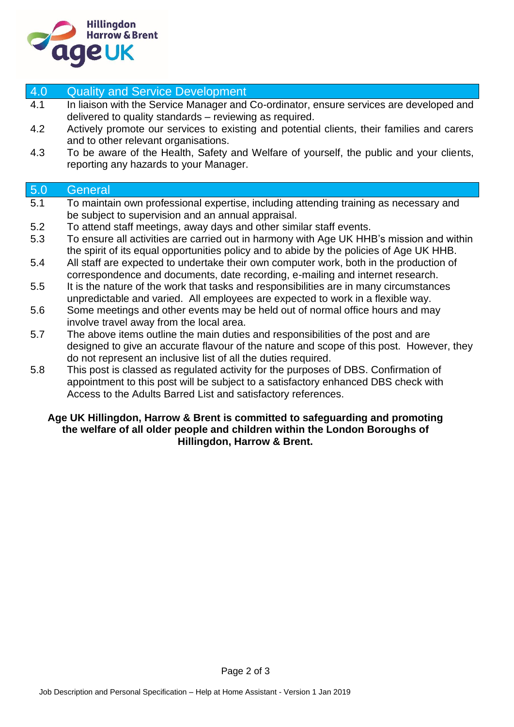

| 4.0 | <b>Quality and Service Development</b>                                                                                                                                                                                                         |
|-----|------------------------------------------------------------------------------------------------------------------------------------------------------------------------------------------------------------------------------------------------|
| 4.1 | In liaison with the Service Manager and Co-ordinator, ensure services are developed and<br>delivered to quality standards - reviewing as required.                                                                                             |
| 4.2 | Actively promote our services to existing and potential clients, their families and carers<br>and to other relevant organisations.                                                                                                             |
| 4.3 | To be aware of the Health, Safety and Welfare of yourself, the public and your clients,<br>reporting any hazards to your Manager.                                                                                                              |
| 5.0 | General                                                                                                                                                                                                                                        |
| 5.1 | To maintain own professional expertise, including attending training as necessary and<br>be subject to supervision and an annual appraisal.                                                                                                    |
| 5.2 | To attend staff meetings, away days and other similar staff events.                                                                                                                                                                            |
| 5.3 | To ensure all activities are carried out in harmony with Age UK HHB's mission and within<br>the spirit of its equal opportunities policy and to abide by the policies of Age UK HHB.                                                           |
| 5.4 | All staff are expected to undertake their own computer work, both in the production of<br>correspondence and documents, date recording, e-mailing and internet research.                                                                       |
| 5.5 | It is the nature of the work that tasks and responsibilities are in many circumstances<br>unpredictable and varied. All employees are expected to work in a flexible way.                                                                      |
| 5.6 | Some meetings and other events may be held out of normal office hours and may<br>involve travel away from the local area.                                                                                                                      |
| 5.7 | The above items outline the main duties and responsibilities of the post and are<br>designed to give an accurate flavour of the nature and scope of this post. However, they<br>do not represent an inclusive list of all the duties required. |
| 5.8 | This post is classed as regulated activity for the purposes of DBS. Confirmation of<br>appointment to this post will be subject to a satisfactory enhanced DBS check with                                                                      |

## Access to the Adults Barred List and satisfactory references.

## **Age UK Hillingdon, Harrow & Brent is committed to safeguarding and promoting the welfare of all older people and children within the London Boroughs of Hillingdon, Harrow & Brent.**